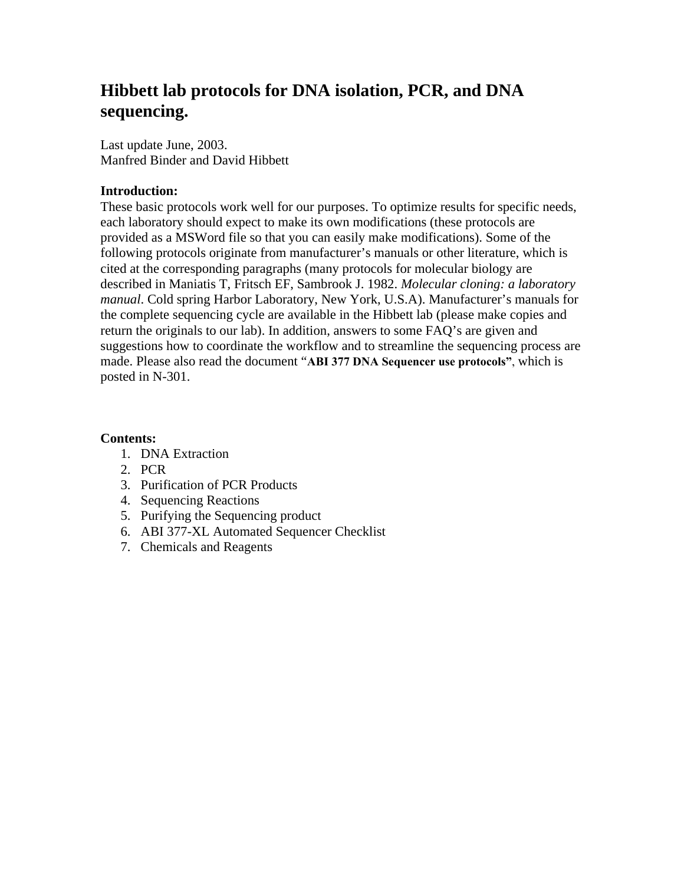# **Hibbett lab protocols for DNA isolation, PCR, and DNA sequencing.**

Last update June, 2003. Manfred Binder and David Hibbett

## **Introduction:**

These basic protocols work well for our purposes. To optimize results for specific needs, each laboratory should expect to make its own modifications (these protocols are provided as a MSWord file so that you can easily make modifications). Some of the following protocols originate from manufacturer's manuals or other literature, which is cited at the corresponding paragraphs (many protocols for molecular biology are described in Maniatis T, Fritsch EF, Sambrook J. 1982. *Molecular cloning: a laboratory manual*. Cold spring Harbor Laboratory, New York, U.S.A). Manufacturer's manuals for the complete sequencing cycle are available in the Hibbett lab (please make copies and return the originals to our lab). In addition, answers to some FAQ's are given and suggestions how to coordinate the workflow and to streamline the sequencing process are made. Please also read the document "**ABI 377 DNA Sequencer use protocols"**, which is posted in N-301.

## **Contents:**

- 1. DNA Extraction
- 2. PCR
- 3. Purification of PCR Products
- 4. Sequencing Reactions
- 5. Purifying the Sequencing product
- 6. ABI 377-XL Automated Sequencer Checklist
- 7. Chemicals and Reagents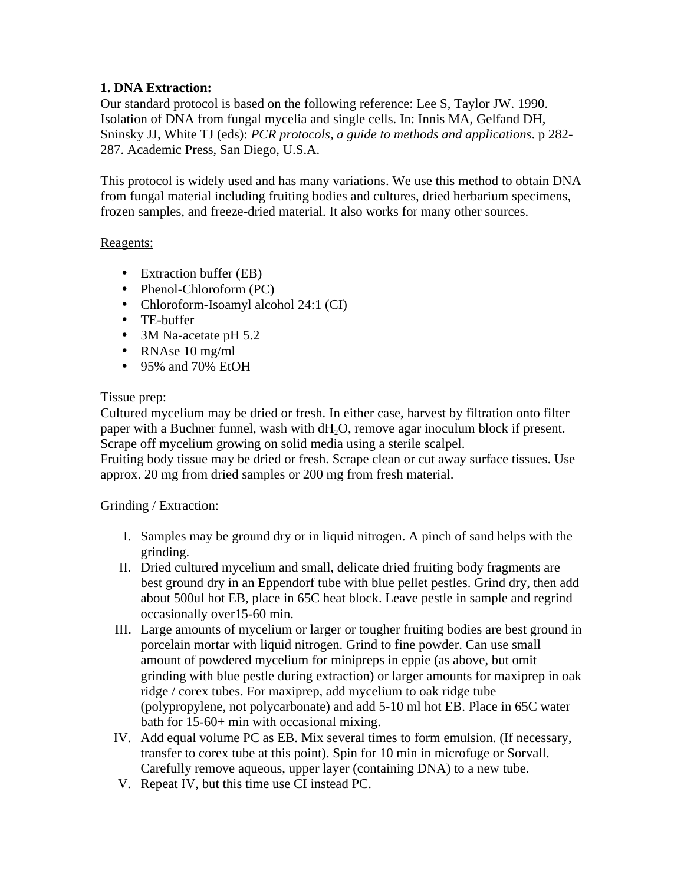## **1. DNA Extraction:**

Our standard protocol is based on the following reference: Lee S, Taylor JW. 1990. Isolation of DNA from fungal mycelia and single cells. In: Innis MA, Gelfand DH, Sninsky JJ, White TJ (eds): *PCR protocols, a guide to methods and applications*. p 282- 287. Academic Press, San Diego, U.S.A.

This protocol is widely used and has many variations. We use this method to obtain DNA from fungal material including fruiting bodies and cultures, dried herbarium specimens, frozen samples, and freeze-dried material. It also works for many other sources.

#### Reagents:

- Extraction buffer (EB)
- Phenol-Chloroform (PC)
- Chloroform-Isoamyl alcohol 24:1 (CI)
- TE-buffer
- 3M Na-acetate pH 5.2
- RNAse 10 mg/ml
- 95% and 70% EtOH

## Tissue prep:

Cultured mycelium may be dried or fresh. In either case, harvest by filtration onto filter paper with a Buchner funnel, wash with  $dH_2O$ , remove agar inoculum block if present. Scrape off mycelium growing on solid media using a sterile scalpel.

Fruiting body tissue may be dried or fresh. Scrape clean or cut away surface tissues. Use approx. 20 mg from dried samples or 200 mg from fresh material.

## Grinding / Extraction:

- I. Samples may be ground dry or in liquid nitrogen. A pinch of sand helps with the grinding.
- II. Dried cultured mycelium and small, delicate dried fruiting body fragments are best ground dry in an Eppendorf tube with blue pellet pestles. Grind dry, then add about 500ul hot EB, place in 65C heat block. Leave pestle in sample and regrind occasionally over15-60 min.
- III. Large amounts of mycelium or larger or tougher fruiting bodies are best ground in porcelain mortar with liquid nitrogen. Grind to fine powder. Can use small amount of powdered mycelium for minipreps in eppie (as above, but omit grinding with blue pestle during extraction) or larger amounts for maxiprep in oak ridge / corex tubes. For maxiprep, add mycelium to oak ridge tube (polypropylene, not polycarbonate) and add 5-10 ml hot EB. Place in 65C water bath for 15-60+ min with occasional mixing.
- IV. Add equal volume PC as EB. Mix several times to form emulsion. (If necessary, transfer to corex tube at this point). Spin for 10 min in microfuge or Sorvall. Carefully remove aqueous, upper layer (containing DNA) to a new tube.
- V. Repeat IV, but this time use CI instead PC.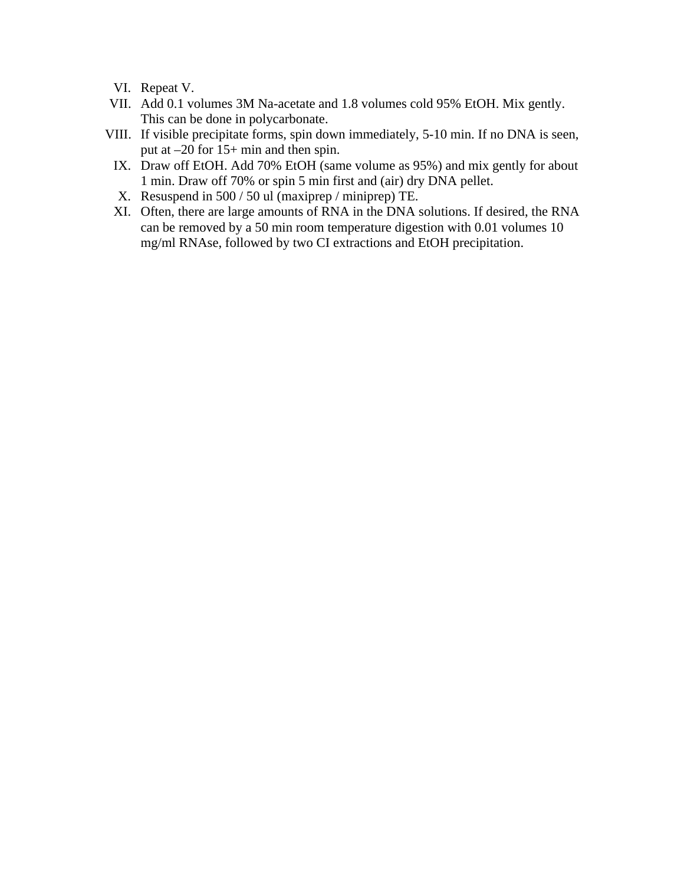VI. Repeat V.

- VII. Add 0.1 volumes 3M Na-acetate and 1.8 volumes cold 95% EtOH. Mix gently. This can be done in polycarbonate.
- VIII. If visible precipitate forms, spin down immediately, 5-10 min. If no DNA is seen, put at –20 for 15+ min and then spin.
	- IX. Draw off EtOH. Add 70% EtOH (same volume as 95%) and mix gently for about 1 min. Draw off 70% or spin 5 min first and (air) dry DNA pellet.
	- X. Resuspend in 500 / 50 ul (maxiprep / miniprep) TE.
	- XI. Often, there are large amounts of RNA in the DNA solutions. If desired, the RNA can be removed by a 50 min room temperature digestion with 0.01 volumes 10 mg/ml RNAse, followed by two CI extractions and EtOH precipitation.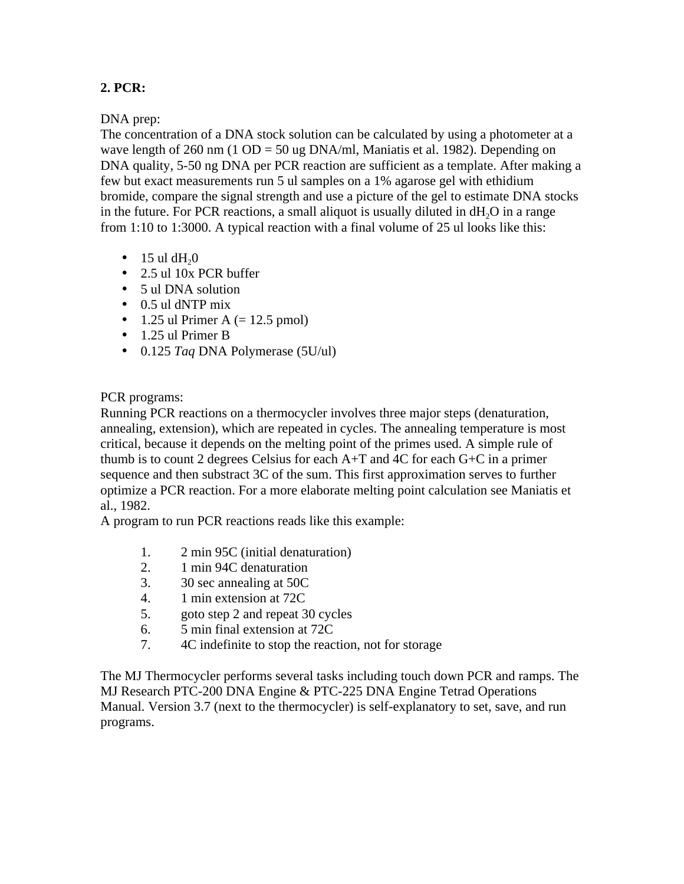## **2. PCR:**

DNA prep:

The concentration of a DNA stock solution can be calculated by using a photometer at a wave length of 260 nm (1 OD = 50 ug DNA/ml, Maniatis et al. 1982). Depending on DNA quality, 5-50 ng DNA per PCR reaction are sufficient as a template. After making a few but exact measurements run 5 ul samples on a 1% agarose gel with ethidium bromide, compare the signal strength and use a picture of the gel to estimate DNA stocks in the future. For PCR reactions, a small aliquot is usually diluted in  $dH<sub>2</sub>O$  in a range from 1:10 to 1:3000. A typical reaction with a final volume of 25 ul looks like this:

- $\cdot$  15 ul dH<sub>2</sub>0
- 2.5 ul 10x PCR buffer
- 5 ul DNA solution
- 0.5 ul dNTP mix
- 1.25 ul Primer A  $(= 12.5 \text{ pmol})$
- 1.25 ul Primer B
- 0.125 *Taq* DNA Polymerase (5U/ul)

PCR programs:

Running PCR reactions on a thermocycler involves three major steps (denaturation, annealing, extension), which are repeated in cycles. The annealing temperature is most critical, because it depends on the melting point of the primes used. A simple rule of thumb is to count 2 degrees Celsius for each A+T and 4C for each G+C in a primer sequence and then substract 3C of the sum. This first approximation serves to further optimize a PCR reaction. For a more elaborate melting point calculation see Maniatis et al., 1982.

A program to run PCR reactions reads like this example:

- 1. 2 min 95C (initial denaturation)
- 2. 1 min 94C denaturation
- 3. 30 sec annealing at 50C
- 4. 1 min extension at 72C
- 5. goto step 2 and repeat 30 cycles
- 6. 5 min final extension at 72C
- 7. 4C indefinite to stop the reaction, not for storage

The MJ Thermocycler performs several tasks including touch down PCR and ramps. The MJ Research PTC-200 DNA Engine & PTC-225 DNA Engine Tetrad Operations Manual. Version 3.7 (next to the thermocycler) is self-explanatory to set, save, and run programs.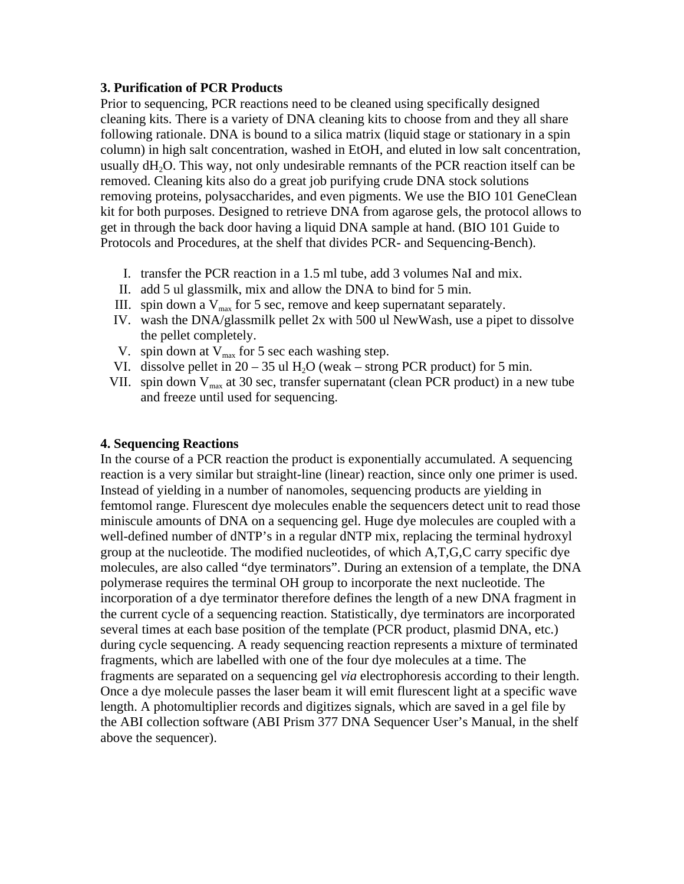#### **3. Purification of PCR Products**

Prior to sequencing, PCR reactions need to be cleaned using specifically designed cleaning kits. There is a variety of DNA cleaning kits to choose from and they all share following rationale. DNA is bound to a silica matrix (liquid stage or stationary in a spin column) in high salt concentration, washed in EtOH, and eluted in low salt concentration, usually dH<sub>2</sub>O. This way, not only undesirable remnants of the PCR reaction itself can be removed. Cleaning kits also do a great job purifying crude DNA stock solutions removing proteins, polysaccharides, and even pigments. We use the BIO 101 GeneClean kit for both purposes. Designed to retrieve DNA from agarose gels, the protocol allows to get in through the back door having a liquid DNA sample at hand. (BIO 101 Guide to Protocols and Procedures, at the shelf that divides PCR- and Sequencing-Bench).

- I. transfer the PCR reaction in a 1.5 ml tube, add 3 volumes NaI and mix.
- II. add 5 ul glassmilk, mix and allow the DNA to bind for 5 min.
- III. spin down a  $V_{max}$  for 5 sec, remove and keep supernatant separately.
- IV. wash the DNA/glassmilk pellet 2x with 500 ul NewWash, use a pipet to dissolve the pellet completely.
- V. spin down at  $V_{\text{max}}$  for 5 sec each washing step.
- VI. dissolve pellet in  $20 35$  ul H<sub>2</sub>O (weak strong PCR product) for 5 min.
- VII. spin down  $V_{max}$  at 30 sec, transfer supernatant (clean PCR product) in a new tube and freeze until used for sequencing.

## **4. Sequencing Reactions**

In the course of a PCR reaction the product is exponentially accumulated. A sequencing reaction is a very similar but straight-line (linear) reaction, since only one primer is used. Instead of yielding in a number of nanomoles, sequencing products are yielding in femtomol range. Flurescent dye molecules enable the sequencers detect unit to read those miniscule amounts of DNA on a sequencing gel. Huge dye molecules are coupled with a well-defined number of dNTP's in a regular dNTP mix, replacing the terminal hydroxyl group at the nucleotide. The modified nucleotides, of which A,T,G,C carry specific dye molecules, are also called "dye terminators". During an extension of a template, the DNA polymerase requires the terminal OH group to incorporate the next nucleotide. The incorporation of a dye terminator therefore defines the length of a new DNA fragment in the current cycle of a sequencing reaction. Statistically, dye terminators are incorporated several times at each base position of the template (PCR product, plasmid DNA, etc.) during cycle sequencing. A ready sequencing reaction represents a mixture of terminated fragments, which are labelled with one of the four dye molecules at a time. The fragments are separated on a sequencing gel *via* electrophoresis according to their length. Once a dye molecule passes the laser beam it will emit flurescent light at a specific wave length. A photomultiplier records and digitizes signals, which are saved in a gel file by the ABI collection software (ABI Prism 377 DNA Sequencer User's Manual, in the shelf above the sequencer).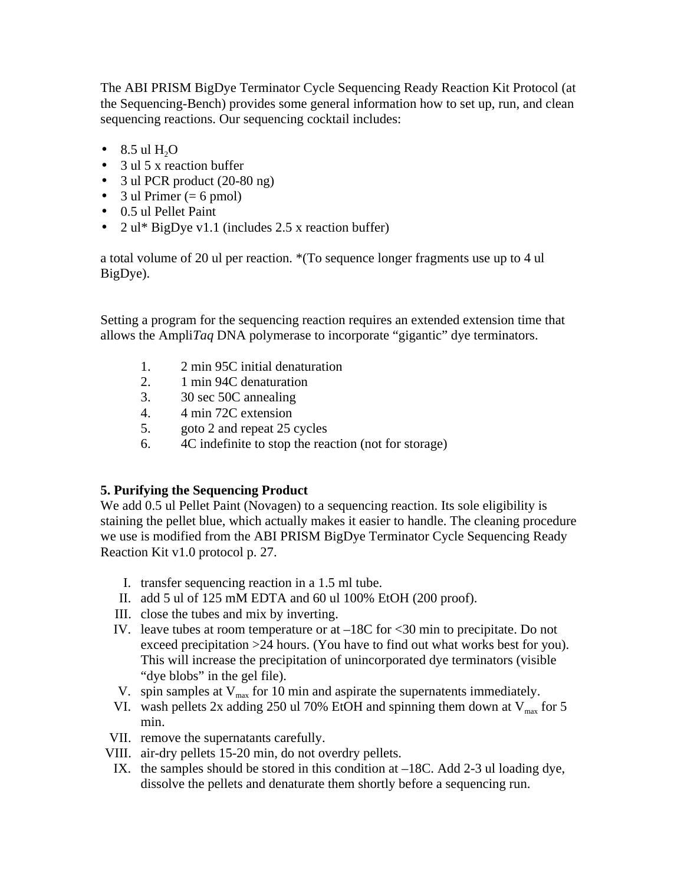The ABI PRISM BigDye Terminator Cycle Sequencing Ready Reaction Kit Protocol (at the Sequencing-Bench) provides some general information how to set up, run, and clean sequencing reactions. Our sequencing cocktail includes:

- $\cdot$  8.5 ul H<sub>2</sub>O
- 3 ul 5 x reaction buffer
- 3 ul PCR product (20-80 ng)
- 3 ul Primer ( $= 6$  pmol)
- 0.5 ul Pellet Paint
- 2 ul\* BigDye v1.1 (includes 2.5 x reaction buffer)

a total volume of 20 ul per reaction. \*(To sequence longer fragments use up to 4 ul BigDye).

Setting a program for the sequencing reaction requires an extended extension time that allows the Ampli*Taq* DNA polymerase to incorporate "gigantic" dye terminators.

- 1. 2 min 95C initial denaturation
- 2. 1 min 94C denaturation
- 3. 30 sec 50C annealing
- 4. 4 min 72C extension
- 5. goto 2 and repeat 25 cycles
- 6. 4C indefinite to stop the reaction (not for storage)

## **5. Purifying the Sequencing Product**

We add 0.5 ul Pellet Paint (Novagen) to a sequencing reaction. Its sole eligibility is staining the pellet blue, which actually makes it easier to handle. The cleaning procedure we use is modified from the ABI PRISM BigDye Terminator Cycle Sequencing Ready Reaction Kit v1.0 protocol p. 27.

- I. transfer sequencing reaction in a 1.5 ml tube.
- II. add 5 ul of 125 mM EDTA and 60 ul 100% EtOH (200 proof).
- III. close the tubes and mix by inverting.
- IV. leave tubes at room temperature or at  $-18C$  for  $\leq 30$  min to precipitate. Do not exceed precipitation >24 hours. (You have to find out what works best for you). This will increase the precipitation of unincorporated dye terminators (visible "dye blobs" in the gel file).
- V. spin samples at  $V_{\text{max}}$  for 10 min and aspirate the supernatents immediately.
- VI. wash pellets 2x adding 250 ul 70% EtOH and spinning them down at  $V_{\text{max}}$  for 5 min.
- VII. remove the supernatants carefully.
- VIII. air-dry pellets 15-20 min, do not overdry pellets.
- IX. the samples should be stored in this condition at –18C. Add 2-3 ul loading dye, dissolve the pellets and denaturate them shortly before a sequencing run.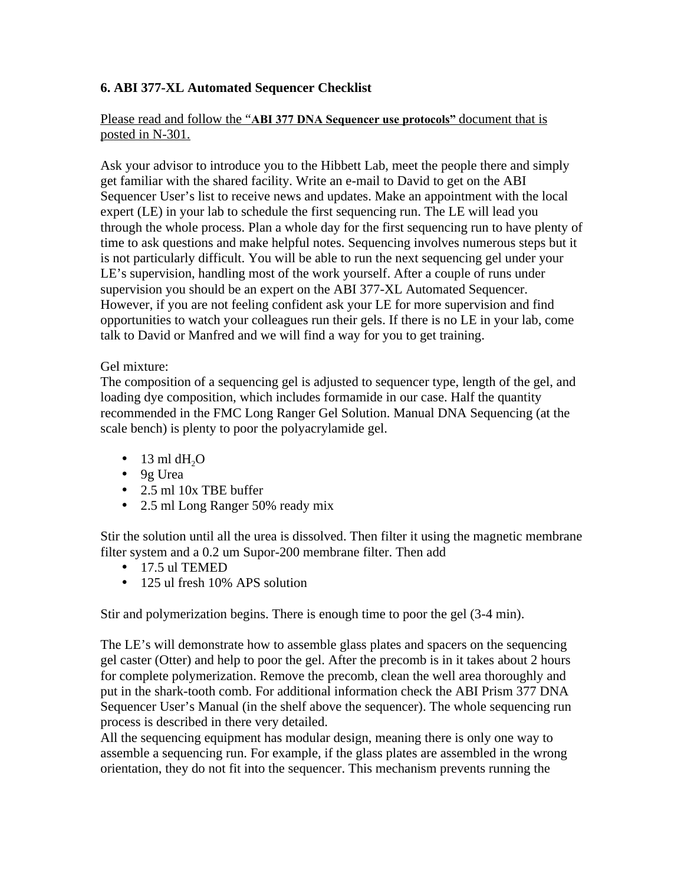## **6. ABI 377-XL Automated Sequencer Checklist**

#### Please read and follow the "**ABI 377 DNA Sequencer use protocols"** document that is posted in N-301.

Ask your advisor to introduce you to the Hibbett Lab, meet the people there and simply get familiar with the shared facility. Write an e-mail to David to get on the ABI Sequencer User's list to receive news and updates. Make an appointment with the local expert (LE) in your lab to schedule the first sequencing run. The LE will lead you through the whole process. Plan a whole day for the first sequencing run to have plenty of time to ask questions and make helpful notes. Sequencing involves numerous steps but it is not particularly difficult. You will be able to run the next sequencing gel under your LE's supervision, handling most of the work yourself. After a couple of runs under supervision you should be an expert on the ABI 377-XL Automated Sequencer. However, if you are not feeling confident ask your LE for more supervision and find opportunities to watch your colleagues run their gels. If there is no LE in your lab, come talk to David or Manfred and we will find a way for you to get training.

#### Gel mixture:

The composition of a sequencing gel is adjusted to sequencer type, length of the gel, and loading dye composition, which includes formamide in our case. Half the quantity recommended in the FMC Long Ranger Gel Solution. Manual DNA Sequencing (at the scale bench) is plenty to poor the polyacrylamide gel.

- $\cdot$  13 ml dH<sub>2</sub>O
- 9g Urea
- 2.5 ml 10x TBE buffer
- 2.5 ml Long Ranger 50% ready mix

Stir the solution until all the urea is dissolved. Then filter it using the magnetic membrane filter system and a 0.2 um Supor-200 membrane filter. Then add

- 17.5 ul TEMED
- 125 ul fresh 10% APS solution

Stir and polymerization begins. There is enough time to poor the gel (3-4 min).

The LE's will demonstrate how to assemble glass plates and spacers on the sequencing gel caster (Otter) and help to poor the gel. After the precomb is in it takes about 2 hours for complete polymerization. Remove the precomb, clean the well area thoroughly and put in the shark-tooth comb. For additional information check the ABI Prism 377 DNA Sequencer User's Manual (in the shelf above the sequencer). The whole sequencing run process is described in there very detailed.

All the sequencing equipment has modular design, meaning there is only one way to assemble a sequencing run. For example, if the glass plates are assembled in the wrong orientation, they do not fit into the sequencer. This mechanism prevents running the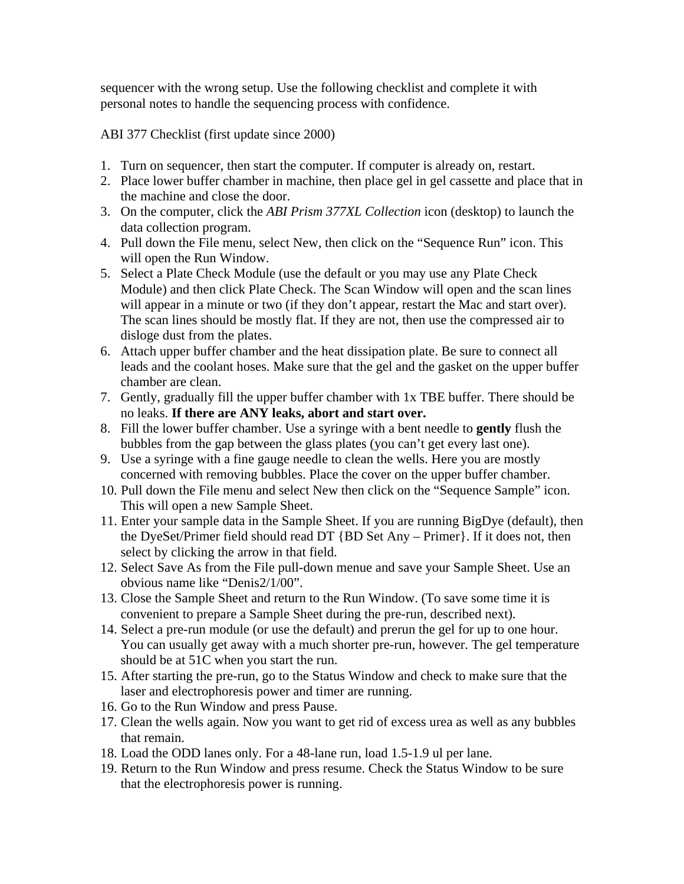sequencer with the wrong setup. Use the following checklist and complete it with personal notes to handle the sequencing process with confidence.

ABI 377 Checklist (first update since 2000)

- 1. Turn on sequencer, then start the computer. If computer is already on, restart.
- 2. Place lower buffer chamber in machine, then place gel in gel cassette and place that in the machine and close the door.
- 3. On the computer, click the *ABI Prism 377XL Collection* icon (desktop) to launch the data collection program.
- 4. Pull down the File menu, select New, then click on the "Sequence Run" icon. This will open the Run Window.
- 5. Select a Plate Check Module (use the default or you may use any Plate Check Module) and then click Plate Check. The Scan Window will open and the scan lines will appear in a minute or two (if they don't appear, restart the Mac and start over). The scan lines should be mostly flat. If they are not, then use the compressed air to disloge dust from the plates.
- 6. Attach upper buffer chamber and the heat dissipation plate. Be sure to connect all leads and the coolant hoses. Make sure that the gel and the gasket on the upper buffer chamber are clean.
- 7. Gently, gradually fill the upper buffer chamber with 1x TBE buffer. There should be no leaks. **If there are ANY leaks, abort and start over.**
- 8. Fill the lower buffer chamber. Use a syringe with a bent needle to **gently** flush the bubbles from the gap between the glass plates (you can't get every last one).
- 9. Use a syringe with a fine gauge needle to clean the wells. Here you are mostly concerned with removing bubbles. Place the cover on the upper buffer chamber.
- 10. Pull down the File menu and select New then click on the "Sequence Sample" icon. This will open a new Sample Sheet.
- 11. Enter your sample data in the Sample Sheet. If you are running BigDye (default), then the DyeSet/Primer field should read DT {BD Set Any – Primer}. If it does not, then select by clicking the arrow in that field.
- 12. Select Save As from the File pull-down menue and save your Sample Sheet. Use an obvious name like "Denis2/1/00".
- 13. Close the Sample Sheet and return to the Run Window. (To save some time it is convenient to prepare a Sample Sheet during the pre-run, described next).
- 14. Select a pre-run module (or use the default) and prerun the gel for up to one hour. You can usually get away with a much shorter pre-run, however. The gel temperature should be at 51C when you start the run.
- 15. After starting the pre-run, go to the Status Window and check to make sure that the laser and electrophoresis power and timer are running.
- 16. Go to the Run Window and press Pause.
- 17. Clean the wells again. Now you want to get rid of excess urea as well as any bubbles that remain.
- 18. Load the ODD lanes only. For a 48-lane run, load 1.5-1.9 ul per lane.
- 19. Return to the Run Window and press resume. Check the Status Window to be sure that the electrophoresis power is running.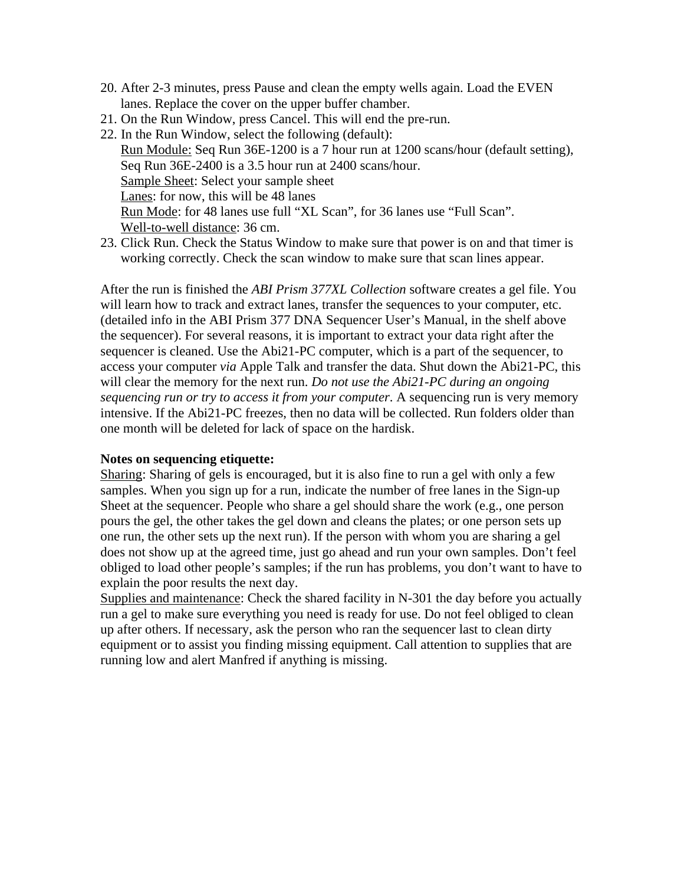- 20. After 2-3 minutes, press Pause and clean the empty wells again. Load the EVEN lanes. Replace the cover on the upper buffer chamber.
- 21. On the Run Window, press Cancel. This will end the pre-run.
- 22. In the Run Window, select the following (default): Run Module: Seq Run 36E-1200 is a 7 hour run at 1200 scans/hour (default setting), Seq Run 36E-2400 is a 3.5 hour run at 2400 scans/hour. Sample Sheet: Select your sample sheet Lanes: for now, this will be 48 lanes Run Mode: for 48 lanes use full "XL Scan", for 36 lanes use "Full Scan". Well-to-well distance: 36 cm.
- 23. Click Run. Check the Status Window to make sure that power is on and that timer is working correctly. Check the scan window to make sure that scan lines appear.

After the run is finished the *ABI Prism 377XL Collection* software creates a gel file. You will learn how to track and extract lanes, transfer the sequences to your computer, etc. (detailed info in the ABI Prism 377 DNA Sequencer User's Manual, in the shelf above the sequencer). For several reasons, it is important to extract your data right after the sequencer is cleaned. Use the Abi21-PC computer, which is a part of the sequencer, to access your computer *via* Apple Talk and transfer the data. Shut down the Abi21-PC, this will clear the memory for the next run. *Do not use the Abi21-PC during an ongoing sequencing run or try to access it from your computer*. A sequencing run is very memory intensive. If the Abi21-PC freezes, then no data will be collected. Run folders older than one month will be deleted for lack of space on the hardisk.

#### **Notes on sequencing etiquette:**

Sharing: Sharing of gels is encouraged, but it is also fine to run a gel with only a few samples. When you sign up for a run, indicate the number of free lanes in the Sign-up Sheet at the sequencer. People who share a gel should share the work (e.g., one person pours the gel, the other takes the gel down and cleans the plates; or one person sets up one run, the other sets up the next run). If the person with whom you are sharing a gel does not show up at the agreed time, just go ahead and run your own samples. Don't feel obliged to load other people's samples; if the run has problems, you don't want to have to explain the poor results the next day.

Supplies and maintenance: Check the shared facility in N-301 the day before you actually run a gel to make sure everything you need is ready for use. Do not feel obliged to clean up after others. If necessary, ask the person who ran the sequencer last to clean dirty equipment or to assist you finding missing equipment. Call attention to supplies that are running low and alert Manfred if anything is missing.